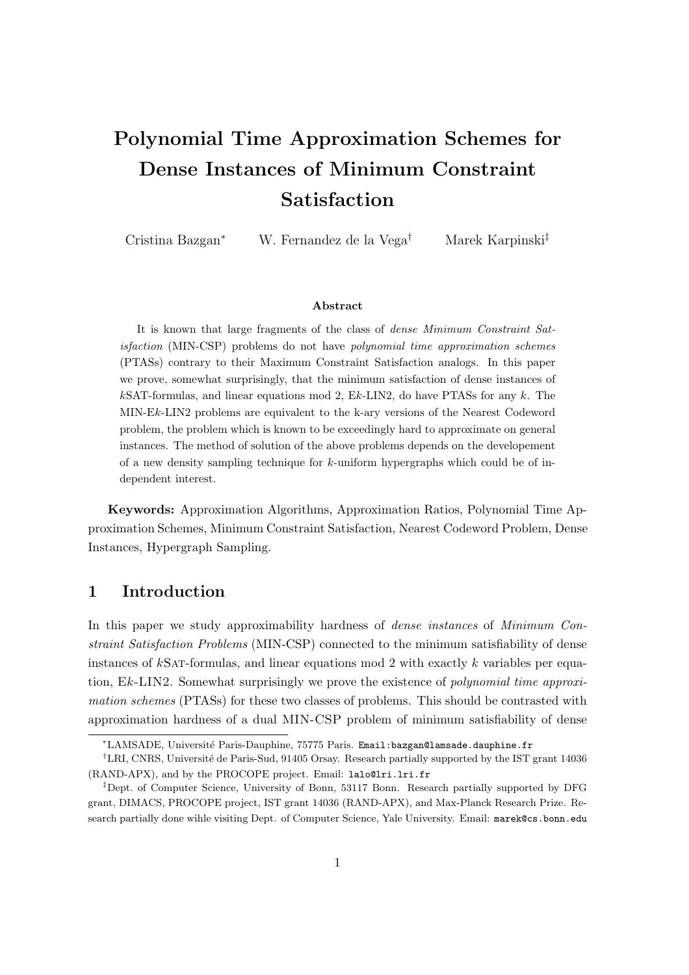# Polynomial Time Approximation Schemes for Dense Instances of Minimum Constraint Satisfaction

Cristina Bazgan<sup>∗</sup> W. Fernandez de la Vega† Marek Karpinski‡

#### Abstract

It is known that large fragments of the class of dense Minimum Constraint Satisfaction (MIN-CSP) problems do not have polynomial time approximation schemes (PTASs) contrary to their Maximum Constraint Satisfaction analogs. In this paper we prove, somewhat surprisingly, that the minimum satisfaction of dense instances of  $k$ SAT-formulas, and linear equations mod 2, Ek-LIN2, do have PTASs for any k. The MIN-Ek-LIN2 problems are equivalent to the k-ary versions of the Nearest Codeword problem, the problem which is known to be exceedingly hard to approximate on general instances. The method of solution of the above problems depends on the developement of a new density sampling technique for k-uniform hypergraphs which could be of independent interest.

Keywords: Approximation Algorithms, Approximation Ratios, Polynomial Time Approximation Schemes, Minimum Constraint Satisfaction, Nearest Codeword Problem, Dense Instances, Hypergraph Sampling.

## 1 Introduction

In this paper we study approximability hardness of dense instances of Minimum Constraint Satisfaction Problems (MIN-CSP) connected to the minimum satisfiability of dense instances of kSAT-formulas, and linear equations mod 2 with exactly k variables per equation,  $Ek-LIN2$ . Somewhat surprisingly we prove the existence of *polynomial time approxi*mation schemes (PTASs) for these two classes of problems. This should be contrasted with approximation hardness of a dual MIN-CSP problem of minimum satisfiability of dense

<sup>∗</sup>LAMSADE, Universit´e Paris-Dauphine, 75775 Paris. Email:bazgan@lamsade.dauphine.fr

<sup>&</sup>lt;sup>†</sup>LRI, CNRS, Université de Paris-Sud, 91405 Orsay. Research partially supported by the IST grant 14036 (RAND-APX), and by the PROCOPE project. Email: lalo@lri.lri.fr

<sup>‡</sup>Dept. of Computer Science, University of Bonn, 53117 Bonn. Research partially supported by DFG grant, DIMACS, PROCOPE project, IST grant 14036 (RAND-APX), and Max-Planck Research Prize. Research partially done wihle visiting Dept. of Computer Science, Yale University. Email: marek@cs.bonn.edu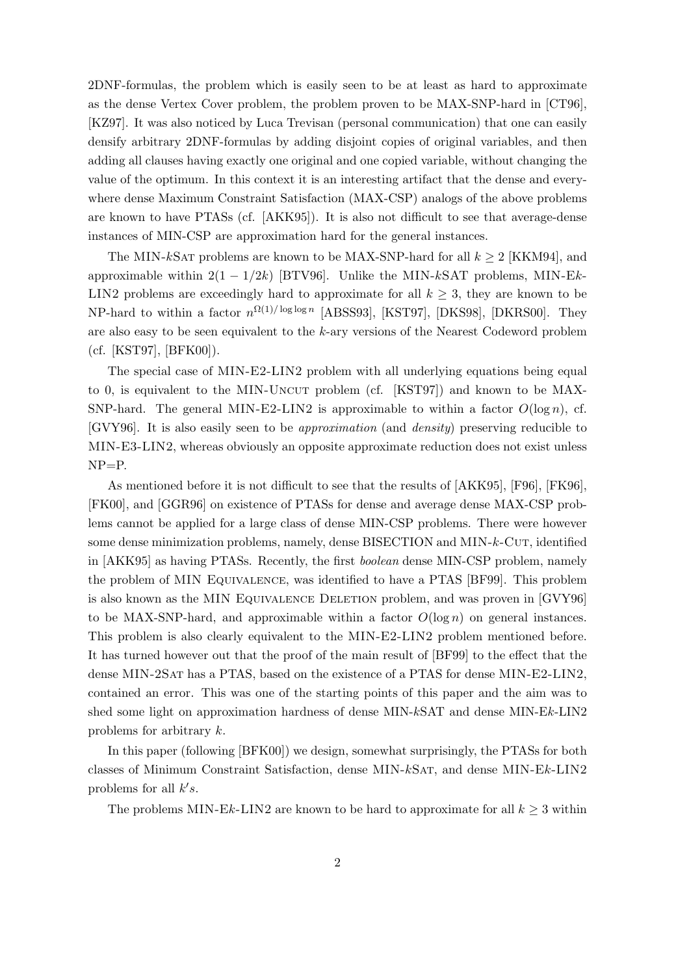2DNF-formulas, the problem which is easily seen to be at least as hard to approximate as the dense Vertex Cover problem, the problem proven to be MAX-SNP-hard in [CT96], [KZ97]. It was also noticed by Luca Trevisan (personal communication) that one can easily densify arbitrary 2DNF-formulas by adding disjoint copies of original variables, and then adding all clauses having exactly one original and one copied variable, without changing the value of the optimum. In this context it is an interesting artifact that the dense and everywhere dense Maximum Constraint Satisfaction (MAX-CSP) analogs of the above problems are known to have PTASs (cf. [AKK95]). It is also not difficult to see that average-dense instances of MIN-CSP are approximation hard for the general instances.

The MIN-kSAT problems are known to be MAX-SNP-hard for all  $k \geq 2$  [KKM94], and approximable within  $2(1 - 1/2k)$  [BTV96]. Unlike the MIN-kSAT problems, MIN-Ek-LIN2 problems are exceedingly hard to approximate for all  $k \geq 3$ , they are known to be NP-hard to within a factor  $n^{\Omega(1)/\log \log n}$  [ABSS93], [KST97], [DKS98], [DKRS00]. They are also easy to be seen equivalent to the k-ary versions of the Nearest Codeword problem (cf. [KST97], [BFK00]).

The special case of MIN-E2-LIN2 problem with all underlying equations being equal to 0, is equivalent to the MIN-UNCUT problem (cf. [KST97]) and known to be MAX-SNP-hard. The general MIN-E2-LIN2 is approximable to within a factor  $O(\log n)$ , cf. [GVY96]. It is also easily seen to be approximation (and density) preserving reducible to MIN-E3-LIN2, whereas obviously an opposite approximate reduction does not exist unless NP=P.

As mentioned before it is not difficult to see that the results of [AKK95], [F96], [FK96], [FK00], and [GGR96] on existence of PTASs for dense and average dense MAX-CSP problems cannot be applied for a large class of dense MIN-CSP problems. There were however some dense minimization problems, namely, dense BISECTION and MIN-k-CUT, identified in [AKK95] as having PTASs. Recently, the first boolean dense MIN-CSP problem, namely the problem of MIN Equivalence, was identified to have a PTAS [BF99]. This problem is also known as the MIN Equivalence Deletion problem, and was proven in [GVY96] to be MAX-SNP-hard, and approximable within a factor  $O(\log n)$  on general instances. This problem is also clearly equivalent to the MIN-E2-LIN2 problem mentioned before. It has turned however out that the proof of the main result of [BF99] to the effect that the dense MIN-2Sat has a PTAS, based on the existence of a PTAS for dense MIN-E2-LIN2, contained an error. This was one of the starting points of this paper and the aim was to shed some light on approximation hardness of dense MIN-kSAT and dense MIN-Ek-LIN2 problems for arbitrary k.

In this paper (following [BFK00]) we design, somewhat surprisingly, the PTASs for both classes of Minimum Constraint Satisfaction, dense MIN-kSat, and dense MIN-Ek-LIN2 problems for all  $k's$ .

The problems MIN-Ek-LIN2 are known to be hard to approximate for all  $k \geq 3$  within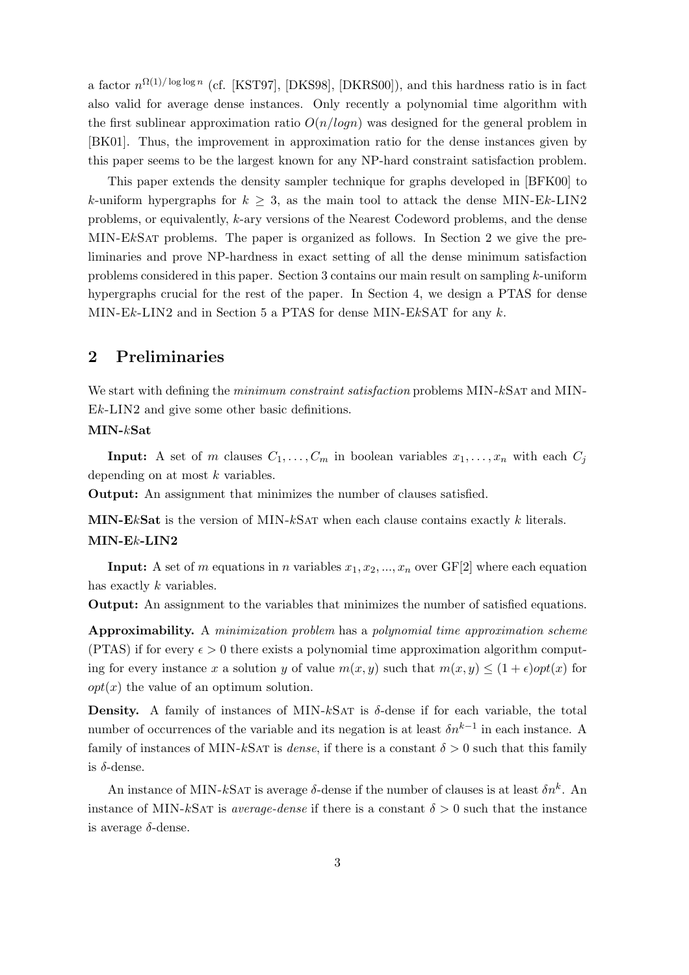a factor  $n^{\Omega(1)/\log \log n}$  (cf. [KST97], [DKS98], [DKRS00]), and this hardness ratio is in fact also valid for average dense instances. Only recently a polynomial time algorithm with the first sublinear approximation ratio  $O(n/logn)$  was designed for the general problem in [BK01]. Thus, the improvement in approximation ratio for the dense instances given by this paper seems to be the largest known for any NP-hard constraint satisfaction problem.

This paper extends the density sampler technique for graphs developed in [BFK00] to k-uniform hypergraphs for  $k \geq 3$ , as the main tool to attack the dense MIN-Ek-LIN2 problems, or equivalently, k-ary versions of the Nearest Codeword problems, and the dense MIN-EkSat problems. The paper is organized as follows. In Section 2 we give the preliminaries and prove NP-hardness in exact setting of all the dense minimum satisfaction problems considered in this paper. Section 3 contains our main result on sampling k-uniform hypergraphs crucial for the rest of the paper. In Section 4, we design a PTAS for dense MIN-Ek-LIN2 and in Section 5 a PTAS for dense MIN-EkSAT for any  $k$ .

## 2 Preliminaries

We start with defining the *minimum constraint satisfaction* problems MIN-kSAT and MIN-Ek-LIN2 and give some other basic definitions.

## MIN-kSat

**Input:** A set of m clauses  $C_1, \ldots, C_m$  in boolean variables  $x_1, \ldots, x_n$  with each  $C_i$ depending on at most  $k$  variables.

Output: An assignment that minimizes the number of clauses satisfied.

MIN-EkSat is the version of MIN-kSAT when each clause contains exactly  $k$  literals. MIN-Ek-LIN2

**Input:** A set of m equations in n variables  $x_1, x_2, ..., x_n$  over GF[2] where each equation has exactly k variables.

Output: An assignment to the variables that minimizes the number of satisfied equations.

Approximability. A minimization problem has a polynomial time approximation scheme (PTAS) if for every  $\epsilon > 0$  there exists a polynomial time approximation algorithm computing for every instance x a solution y of value  $m(x, y)$  such that  $m(x, y) \leq (1 + \epsilon)opt(x)$  for  $opt(x)$  the value of an optimum solution.

**Density.** A family of instances of MIN-kSAT is  $\delta$ -dense if for each variable, the total number of occurrences of the variable and its negation is at least  $\delta n^{k-1}$  in each instance. A family of instances of MIN-kSAT is *dense*, if there is a constant  $\delta > 0$  such that this family is  $\delta$ -dense.

An instance of MIN-kSAT is average  $\delta$ -dense if the number of clauses is at least  $\delta n^k$ . An instance of MIN-kSAT is *average-dense* if there is a constant  $\delta > 0$  such that the instance is average  $\delta$ -dense.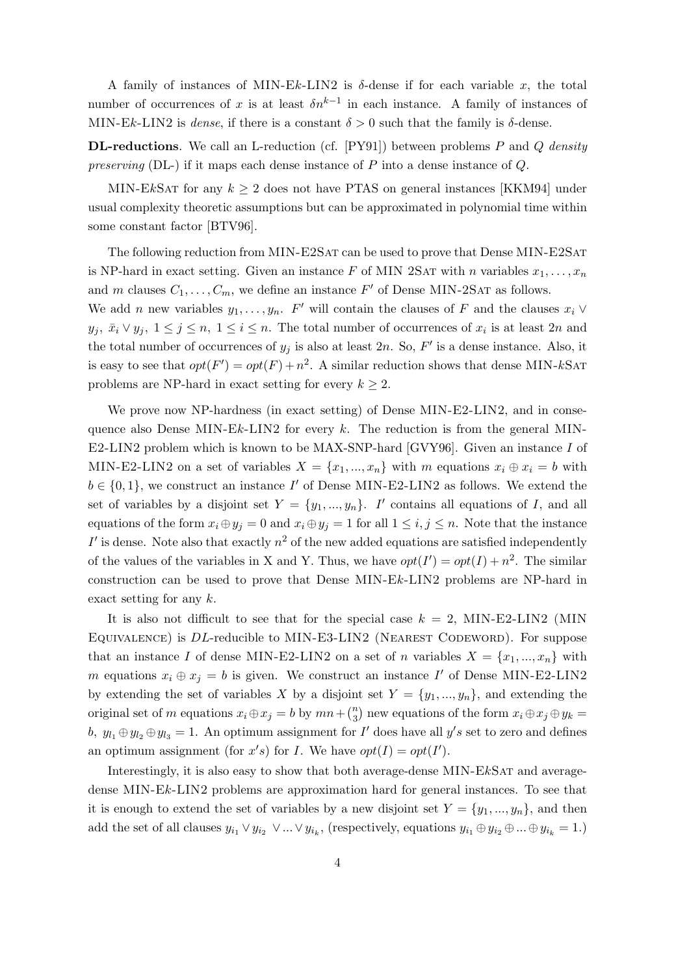A family of instances of MIN-Ek-LIN2 is  $\delta$ -dense if for each variable x, the total number of occurrences of x is at least  $\delta n^{k-1}$  in each instance. A family of instances of MIN-Ek-LIN2 is dense, if there is a constant  $\delta > 0$  such that the family is  $\delta$ -dense.

**DL-reductions.** We call an L-reduction (cf.  $[PY91]$ ) between problems P and Q density preserving (DL-) if it maps each dense instance of  $P$  into a dense instance of  $Q$ .

MIN-EkSAT for any  $k \geq 2$  does not have PTAS on general instances [KKM94] under usual complexity theoretic assumptions but can be approximated in polynomial time within some constant factor [BTV96].

The following reduction from MIN-E2SAT can be used to prove that Dense MIN-E2SAT is NP-hard in exact setting. Given an instance F of MIN 2SAT with n variables  $x_1, \ldots, x_n$ and m clauses  $C_1, \ldots, C_m$ , we define an instance  $F'$  of Dense MIN-2SAT as follows. We add *n* new variables  $y_1, \ldots, y_n$ . F' will contain the clauses of F and the clauses  $x_i \vee$  $y_j, \bar{x}_i \vee y_j, 1 \leq j \leq n, 1 \leq i \leq n$ . The total number of occurrences of  $x_i$  is at least 2n and the total number of occurrences of  $y_j$  is also at least 2n. So,  $F'$  is a dense instance. Also, it is easy to see that  $opt(F') = opt(F) + n^2$ . A similar reduction shows that dense MIN-kSAT problems are NP-hard in exact setting for every  $k \geq 2$ .

We prove now NP-hardness (in exact setting) of Dense MIN-E2-LIN2, and in consequence also Dense MIN-Ek-LIN2 for every k. The reduction is from the general MIN-E2-LIN2 problem which is known to be MAX-SNP-hard [GVY96]. Given an instance I of MIN-E2-LIN2 on a set of variables  $X = \{x_1, ..., x_n\}$  with m equations  $x_i \oplus x_i = b$  with  $b \in \{0, 1\}$ , we construct an instance I' of Dense MIN-E2-LIN2 as follows. We extend the set of variables by a disjoint set  $Y = \{y_1, ..., y_n\}$ . I' contains all equations of I, and all equations of the form  $x_i \oplus y_j = 0$  and  $x_i \oplus y_j = 1$  for all  $1 \leq i, j \leq n$ . Note that the instance  $I'$  is dense. Note also that exactly  $n^2$  of the new added equations are satisfied independently of the values of the variables in X and Y. Thus, we have  $opt(I') = opt(I) + n^2$ . The similar construction can be used to prove that Dense MIN-Ek-LIN2 problems are NP-hard in exact setting for any  $k$ .

It is also not difficult to see that for the special case  $k = 2$ , MIN-E2-LIN2 (MIN EQUIVALENCE) is DL-reducible to MIN-E3-LIN2 (NEAREST CODEWORD). For suppose that an instance I of dense MIN-E2-LIN2 on a set of n variables  $X = \{x_1, ..., x_n\}$  with m equations  $x_i \oplus x_j = b$  is given. We construct an instance I' of Dense MIN-E2-LIN2 by extending the set of variables X by a disjoint set  $Y = \{y_1, ..., y_n\}$ , and extending the original set of m equations  $x_i \oplus x_j = b$  by  $mn + \binom{n}{3}$  new equations of the form  $x_i \oplus x_j \oplus y_k = b$ b,  $y_{l_1} \oplus y_{l_2} \oplus y_{l_3} = 1$ . An optimum assignment for I' does have all  $y's$  set to zero and defines an optimum assignment (for x's) for I. We have  $opt(I) = opt(I')$ .

Interestingly, it is also easy to show that both average-dense MIN-EkSat and averagedense MIN-Ek-LIN2 problems are approximation hard for general instances. To see that it is enough to extend the set of variables by a new disjoint set  $Y = \{y_1, ..., y_n\}$ , and then add the set of all clauses  $y_{i_1} \vee y_{i_2} \vee ... \vee y_{i_k}$ , (respectively, equations  $y_{i_1} \oplus y_{i_2} \oplus ... \oplus y_{i_k} = 1$ .)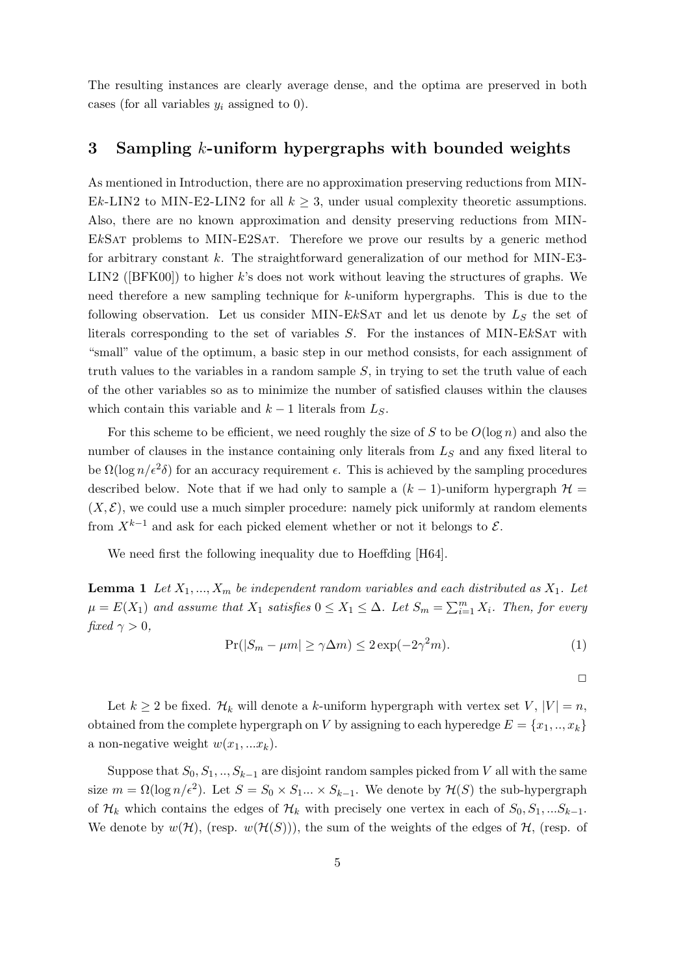The resulting instances are clearly average dense, and the optima are preserved in both cases (for all variables  $y_i$  assigned to 0).

## 3 Sampling k-uniform hypergraphs with bounded weights

As mentioned in Introduction, there are no approximation preserving reductions from MIN-Ek-LIN2 to MIN-E2-LIN2 for all  $k \geq 3$ , under usual complexity theoretic assumptions. Also, there are no known approximation and density preserving reductions from MIN-EkSat problems to MIN-E2Sat. Therefore we prove our results by a generic method for arbitrary constant k. The straightforward generalization of our method for MIN-E3- LIN2 ([BFK00]) to higher k's does not work without leaving the structures of graphs. We need therefore a new sampling technique for k-uniform hypergraphs. This is due to the following observation. Let us consider MIN-EkSAT and let us denote by  $L<sub>S</sub>$  the set of literals corresponding to the set of variables S. For the instances of MIN-EkSat with "small" value of the optimum, a basic step in our method consists, for each assignment of truth values to the variables in a random sample  $S$ , in trying to set the truth value of each of the other variables so as to minimize the number of satisfied clauses within the clauses which contain this variable and  $k - 1$  literals from  $L<sub>S</sub>$ .

For this scheme to be efficient, we need roughly the size of S to be  $O(\log n)$  and also the number of clauses in the instance containing only literals from  $L<sub>S</sub>$  and any fixed literal to be  $\Omega(\log n/\epsilon^2\delta)$  for an accuracy requirement  $\epsilon$ . This is achieved by the sampling procedures described below. Note that if we had only to sample a  $(k-1)$ -uniform hypergraph  $\mathcal{H}$  =  $(X, \mathcal{E})$ , we could use a much simpler procedure: namely pick uniformly at random elements from  $X^{k-1}$  and ask for each picked element whether or not it belongs to  $\mathcal{E}$ .

We need first the following inequality due to Hoeffding [H64].

**Lemma 1** Let  $X_1, ..., X_m$  be independent random variables and each distributed as  $X_1$ . Let  $\mu = E(X_1)$  and assume that  $X_1$  satisfies  $0 \le X_1 \le \Delta$ . Let  $S_m = \sum_{i=1}^m X_i$ . Then, for every fixed  $\gamma > 0$ ,

$$
\Pr(|S_m - \mu m| \ge \gamma \Delta m) \le 2 \exp(-2\gamma^2 m). \tag{1}
$$

 $\Box$ 

Let  $k \geq 2$  be fixed.  $\mathcal{H}_k$  will denote a k-uniform hypergraph with vertex set  $V, |V| = n$ , obtained from the complete hypergraph on V by assigning to each hyperedge  $E = \{x_1, ..., x_k\}$ a non-negative weight  $w(x_1, ... x_k)$ .

Suppose that  $S_0, S_1, ..., S_{k-1}$  are disjoint random samples picked from V all with the same size  $m = \Omega(\log n/\epsilon^2)$ . Let  $S = S_0 \times S_1 ... \times S_{k-1}$ . We denote by  $\mathcal{H}(S)$  the sub-hypergraph of  $\mathcal{H}_k$  which contains the edges of  $\mathcal{H}_k$  with precisely one vertex in each of  $S_0, S_1, ...S_{k-1}$ . We denote by  $w(\mathcal{H})$ , (resp.  $w(\mathcal{H}(S))$ ), the sum of the weights of the edges of  $\mathcal{H}$ , (resp. of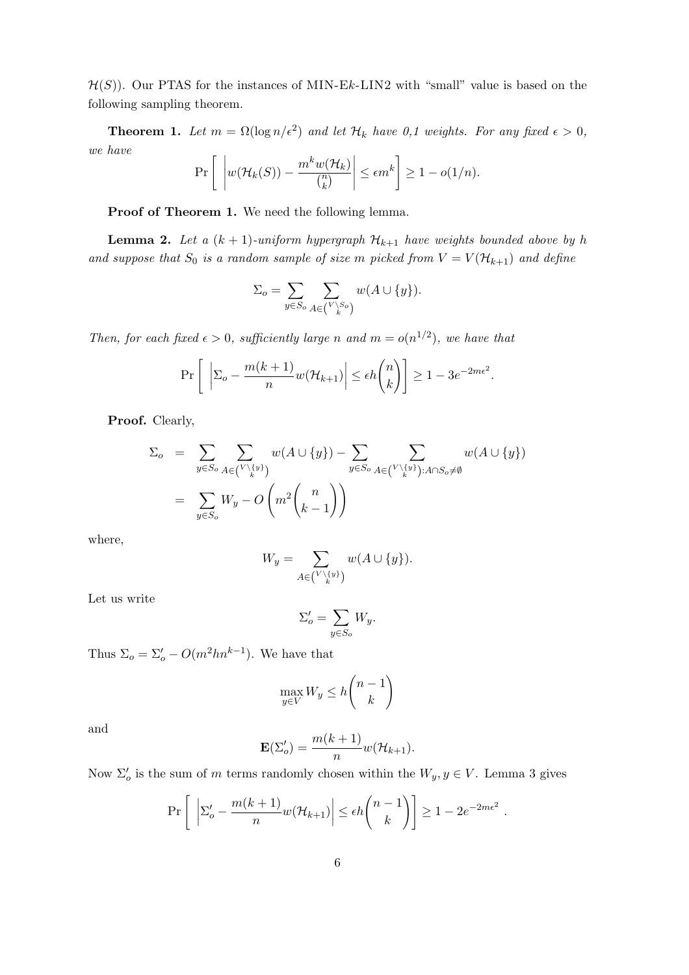$\mathcal{H}(S)$ ). Our PTAS for the instances of MIN-Ek-LIN2 with "small" value is based on the following sampling theorem.

**Theorem 1.** Let  $m = \Omega(\log n/\epsilon^2)$  and let  $\mathcal{H}_k$  have 0,1 weights. For any fixed  $\epsilon > 0$ , we have

$$
\Pr\left[\left|w(\mathcal{H}_k(S)) - \frac{m^k w(\mathcal{H}_k)}{\binom{n}{k}}\right| \le \epsilon m^k\right] \ge 1 - o(1/n).
$$

Proof of Theorem 1. We need the following lemma.

**Lemma 2.** Let a  $(k + 1)$ -uniform hypergraph  $\mathcal{H}_{k+1}$  have weights bounded above by h and suppose that  $S_0$  is a random sample of size m picked from  $V = V(\mathcal{H}_{k+1})$  and define

$$
\Sigma_o = \sum_{y \in S_o} \sum_{A \in {V \setminus S_o \choose k}} w(A \cup \{y\}).
$$

Then, for each fixed  $\epsilon > 0$ , sufficiently large n and  $m = o(n^{1/2})$ , we have that

$$
\Pr\left[\left| \Sigma_o - \frac{m(k+1)}{n} w(\mathcal{H}_{k+1}) \right| \le \epsilon h \binom{n}{k} \right] \ge 1 - 3e^{-2m\epsilon^2}.
$$

Proof. Clearly,

$$
\Sigma_o = \sum_{y \in S_o} \sum_{A \in {V \setminus \{y\}} \atop \text{if } y \in S_o} w(A \cup \{y\}) - \sum_{y \in S_o} \sum_{A \in {V \setminus \{y\}} : A \cap S_o \neq \emptyset} w(A \cup \{y\})
$$
\n
$$
= \sum_{y \in S_o} W_y - O\left(m^2 \binom{n}{k-1}\right)
$$

where,

$$
W_y = \sum_{A \in \binom{V \setminus \{y\}}{k}} w(A \cup \{y\}).
$$

Let us write

$$
\Sigma_o' = \sum_{y \in S_o} W_y.
$$

Thus  $\Sigma_o = \Sigma_o' - O(m^2 h n^{k-1})$ . We have that

$$
\max_{y \in V} W_y \le h \binom{n-1}{k}
$$

and

$$
\mathbf{E}(\Sigma_o') = \frac{m(k+1)}{n} w(\mathcal{H}_{k+1}).
$$

Now  $\Sigma'_{o}$  is the sum of m terms randomly chosen within the  $W_y, y \in V$ . Lemma 3 gives

$$
\Pr\left[\left| \Sigma_o' - \frac{m(k+1)}{n} w(\mathcal{H}_{k+1}) \right| \le \epsilon h \binom{n-1}{k} \right] \ge 1 - 2e^{-2m\epsilon^2}
$$

.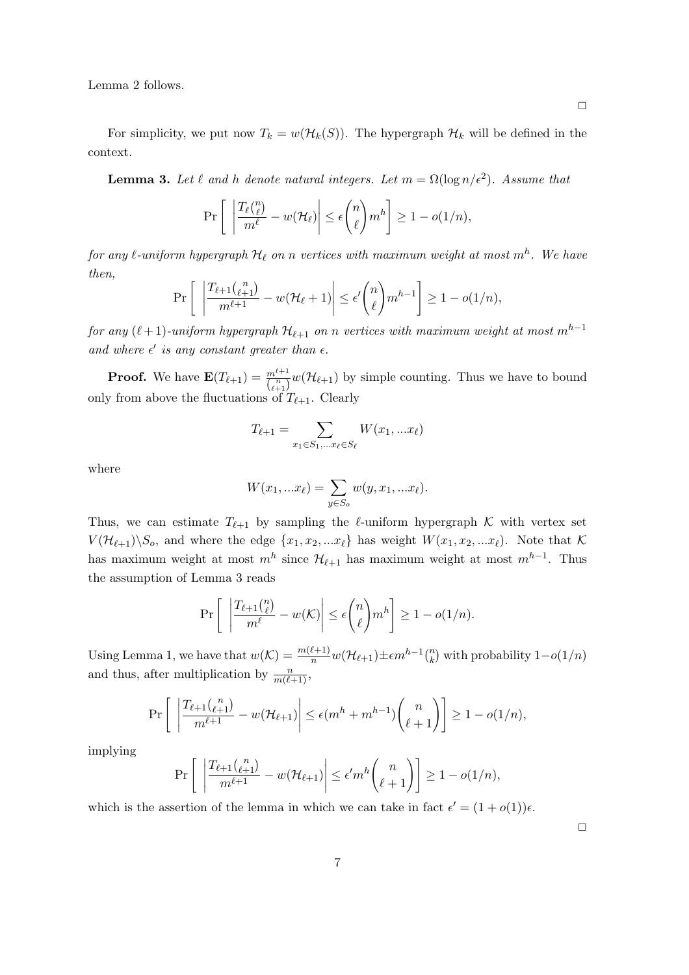Lemma 2 follows.

For simplicity, we put now  $T_k = w(\mathcal{H}_k(S))$ . The hypergraph  $\mathcal{H}_k$  will be defined in the context.

**Lemma 3.** Let  $\ell$  and  $h$  denote natural integers. Let  $m = \Omega(\log n/\epsilon^2)$ . Assume that

$$
\Pr\left[\left|\frac{T_{\ell}(\binom{n}{\ell})}{m^{\ell}} - w(\mathcal{H}_{\ell})\right| \leq \epsilon \binom{n}{\ell} m^h\right] \geq 1 - o(1/n),
$$

for any  $\ell$ -uniform hypergraph  $\mathcal{H}_\ell$  on  $n$  vertices with maximum weight at most  $m^h$ . We have then,

$$
\Pr\left[\left|\frac{T_{\ell+1}\binom{n}{\ell+1}}{m^{\ell+1}} - w(\mathcal{H}_{\ell}+1)\right| \leq \epsilon'\binom{n}{\ell}m^{h-1}\right] \geq 1 - o(1/n),
$$

for any  $(\ell+1)$ -uniform hypergraph  $\mathcal{H}_{\ell+1}$  on n vertices with maximum weight at most  $m^{h-1}$ and where  $\epsilon'$  is any constant greater than  $\epsilon$ .

**Proof.** We have  $\mathbf{E}(T_{\ell+1}) = \frac{m^{\ell+1}}{\binom{n}{\ell+1}} w(\mathcal{H}_{\ell+1})$  by simple counting. Thus we have to bound only from above the fluctuations of  $T_{\ell+1}$ . Clearly

$$
T_{\ell+1} = \sum_{x_1 \in S_1, \dots x_\ell \in S_\ell} W(x_1, \dots x_\ell)
$$

where

$$
W(x_1, ...x_\ell) = \sum_{y \in S_o} w(y, x_1, ...x_\ell).
$$

Thus, we can estimate  $T_{\ell+1}$  by sampling the  $\ell$ -uniform hypergraph K with vertex set  $V(\mathcal{H}_{\ell+1})\backslash S_o$ , and where the edge  $\{x_1, x_2, ... x_{\ell}\}\)$  has weight  $W(x_1, x_2, ... x_{\ell})$ . Note that K has maximum weight at most  $m<sup>h</sup>$  since  $\mathcal{H}_{\ell+1}$  has maximum weight at most  $m^{h-1}$ . Thus the assumption of Lemma 3 reads

$$
\Pr\left[\left|\frac{T_{\ell+1}\binom{n}{\ell}}{m^{\ell}} - w(\mathcal{K})\right| \le \epsilon \binom{n}{\ell} m^h\right] \ge 1 - o(1/n).
$$

Using Lemma 1, we have that  $w(\mathcal{K}) = \frac{m(\ell+1)}{n} w(\mathcal{H}_{\ell+1}) \pm \epsilon m^{h-1} {n \choose k}$  with probability  $1-o(1/n)$ and thus, after multiplication by  $\frac{n}{m(\ell+1)}$ ,

$$
\Pr\left[\left|\frac{T_{\ell+1}\binom{n}{\ell+1}}{m^{\ell+1}} - w(\mathcal{H}_{\ell+1})\right| \le \epsilon (m^h + m^{h-1})\binom{n}{\ell+1}\right] \ge 1 - o(1/n),
$$

implying

$$
\Pr\left[\left|\frac{T_{\ell+1}\binom{n}{\ell+1}}{m^{\ell+1}} - w(\mathcal{H}_{\ell+1})\right| \le \epsilon' m^h \binom{n}{\ell+1}\right] \ge 1 - o(1/n),
$$

which is the assertion of the lemma in which we can take in fact  $\epsilon' = (1 + o(1))\epsilon$ .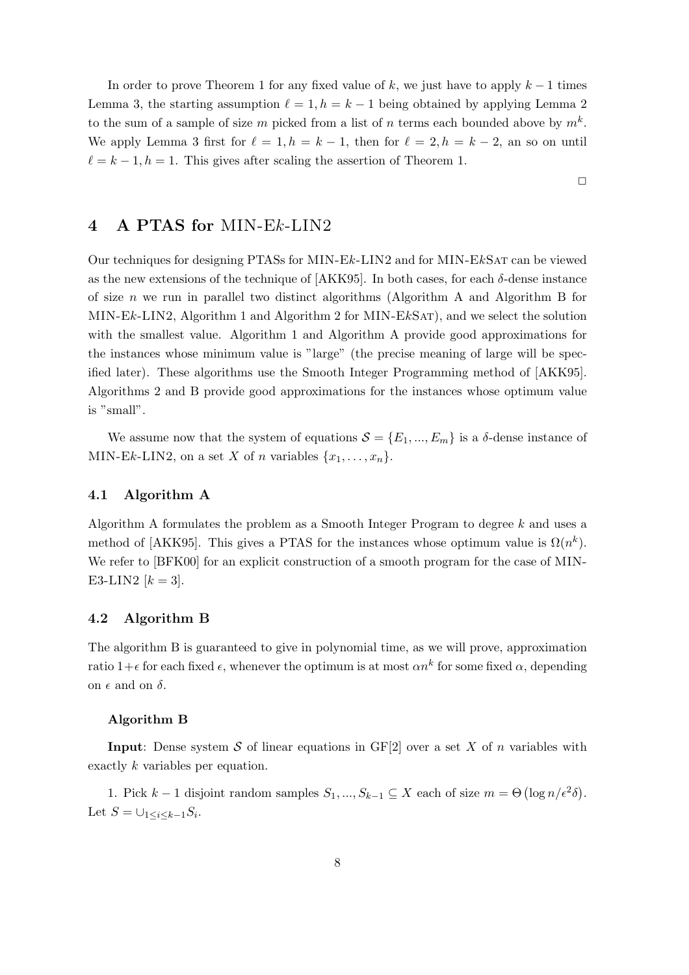In order to prove Theorem 1 for any fixed value of k, we just have to apply  $k-1$  times Lemma 3, the starting assumption  $\ell = 1, h = k - 1$  being obtained by applying Lemma 2 to the sum of a sample of size m picked from a list of n terms each bounded above by  $m^k$ . We apply Lemma 3 first for  $\ell = 1, h = k - 1$ , then for  $\ell = 2, h = k - 2$ , an so on until  $\ell = k - 1, h = 1$ . This gives after scaling the assertion of Theorem 1.

 $\Box$ 

# 4 A PTAS for MIN-Ek-LIN2

Our techniques for designing PTASs for MIN-Ek-LIN2 and for MIN-EkSat can be viewed as the new extensions of the technique of  $[AKK95]$ . In both cases, for each  $\delta$ -dense instance of size  $n$  we run in parallel two distinct algorithms (Algorithm A and Algorithm B for MIN-Ek-LIN2, Algorithm 1 and Algorithm 2 for MIN-EkSAT), and we select the solution with the smallest value. Algorithm 1 and Algorithm A provide good approximations for the instances whose minimum value is "large" (the precise meaning of large will be specified later). These algorithms use the Smooth Integer Programming method of [AKK95]. Algorithms 2 and B provide good approximations for the instances whose optimum value is "small".

We assume now that the system of equations  $S = \{E_1, ..., E_m\}$  is a  $\delta$ -dense instance of MIN-Ek-LIN2, on a set X of n variables  $\{x_1, \ldots, x_n\}$ .

## 4.1 Algorithm A

Algorithm A formulates the problem as a Smooth Integer Program to degree k and uses a method of [AKK95]. This gives a PTAS for the instances whose optimum value is  $\Omega(n^k)$ . We refer to [BFK00] for an explicit construction of a smooth program for the case of MIN-E3-LIN2  $[k = 3]$ .

## 4.2 Algorithm B

The algorithm B is guaranteed to give in polynomial time, as we will prove, approximation ratio 1+ $\epsilon$  for each fixed  $\epsilon$ , whenever the optimum is at most  $\alpha n^k$  for some fixed  $\alpha$ , depending on  $\epsilon$  and on  $\delta$ .

#### Algorithm B

**Input:** Dense system S of linear equations in  $GF[2]$  over a set X of n variables with exactly k variables per equation.

1. Pick  $k-1$  disjoint random samples  $S_1, ..., S_{k-1} \subseteq X$  each of size  $m = \Theta(\log n/\epsilon^2 \delta)$ . Let  $S = \bigcup_{1 \leq i \leq k-1} S_i$ .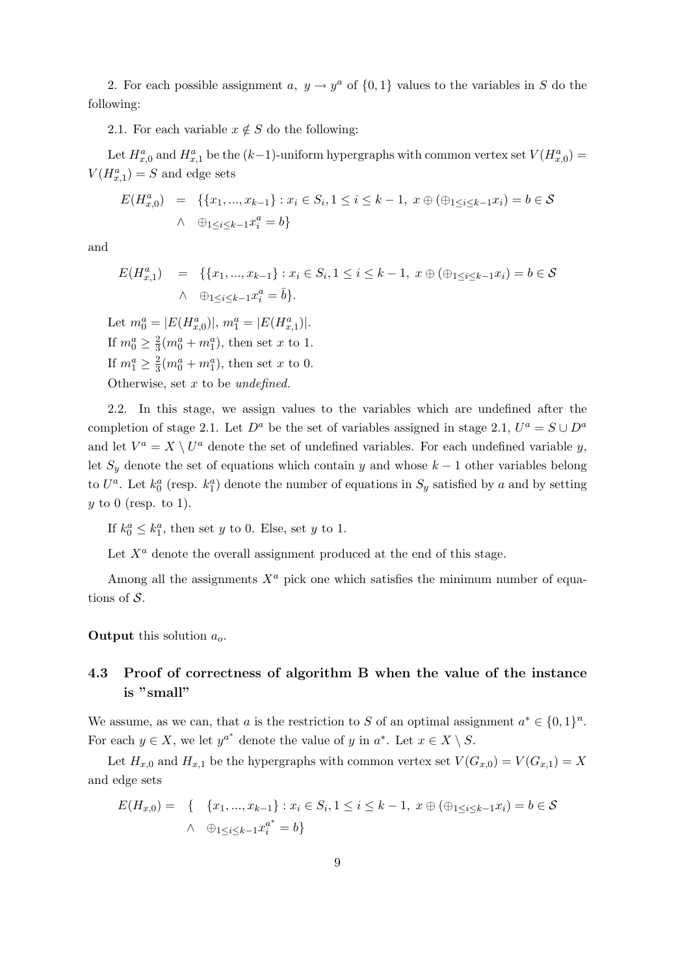2. For each possible assignment a,  $y \to y^a$  of  $\{0,1\}$  values to the variables in S do the following:

2.1. For each variable  $x \notin S$  do the following:

Let  $H_{x,0}^a$  and  $H_{x,1}^a$  be the  $(k-1)$ -uniform hypergraphs with common vertex set  $V(H_{x,0}^a)$  =  $V(H_{x,1}^a) = S$  and edge sets

$$
E(H_{x,0}^{a}) = \{ \{x_{1}, ..., x_{k-1}\} : x_{i} \in S_{i}, 1 \leq i \leq k-1, x \oplus (\oplus_{1 \leq i \leq k-1} x_{i}) = b \in S \}
$$
  

$$
\wedge \oplus_{1 \leq i \leq k-1} x_{i}^{a} = b \}
$$

and

$$
E(H_{x,1}^{a}) = \{ \{x_1, ..., x_{k-1}\} : x_i \in S_i, 1 \le i \le k-1, x \oplus (\oplus_{1 \le i \le k-1} x_i) = b \in \mathcal{S} \}
$$
  

$$
\wedge \oplus_{1 \le i \le k-1} x_i^{a} = \overline{b} \}.
$$

Let  $m_0^a = |E(H_{x,0}^a)|, m_1^a = |E(H_{x,1}^a)|.$ If  $m_0^a \geq \frac{2}{3}$  $\frac{2}{3}(m_0^a + m_1^a)$ , then set x to 1. If  $m_1^a \geq \frac{2}{3}$  $\frac{2}{3}(m_0^a + m_1^a)$ , then set x to 0. Otherwise, set  $x$  to be undefined.

2.2. In this stage, we assign values to the variables which are undefined after the completion of stage 2.1. Let  $D^a$  be the set of variables assigned in stage 2.1,  $U^a = S \cup D^a$ and let  $V^a = X \setminus U^a$  denote the set of undefined variables. For each undefined variable y, let  $S_y$  denote the set of equations which contain y and whose  $k-1$  other variables belong to  $U^a$ . Let  $k_0^a$  (resp.  $k_1^a$ ) denote the number of equations in  $S_y$  satisfied by a and by setting  $y$  to 0 (resp. to 1).

If  $k_0^a \leq k_1^a$ , then set y to 0. Else, set y to 1.

Let  $X^a$  denote the overall assignment produced at the end of this stage.

Among all the assignments  $X^a$  pick one which satisfies the minimum number of equations of  $S$ .

**Output** this solution  $a_{\alpha}$ .

## 4.3 Proof of correctness of algorithm B when the value of the instance is "small"

We assume, as we can, that a is the restriction to S of an optimal assignment  $a^* \in \{0,1\}^n$ . For each  $y \in X$ , we let  $y^{a^*}$  denote the value of y in  $a^*$ . Let  $x \in X \setminus S$ .

Let  $H_{x,0}$  and  $H_{x,1}$  be the hypergraphs with common vertex set  $V(G_{x,0}) = V(G_{x,1}) = X$ and edge sets

$$
E(H_{x,0}) = \{ \quad \{x_1, ..., x_{k-1}\} : x_i \in S_i, 1 \le i \le k-1, \ x \oplus (\oplus_{1 \le i \le k-1} x_i) = b \in \mathcal{S} \}
$$
  
 
$$
\land \quad \oplus_{1 \le i \le k-1} x_i^{a^*} = b \}
$$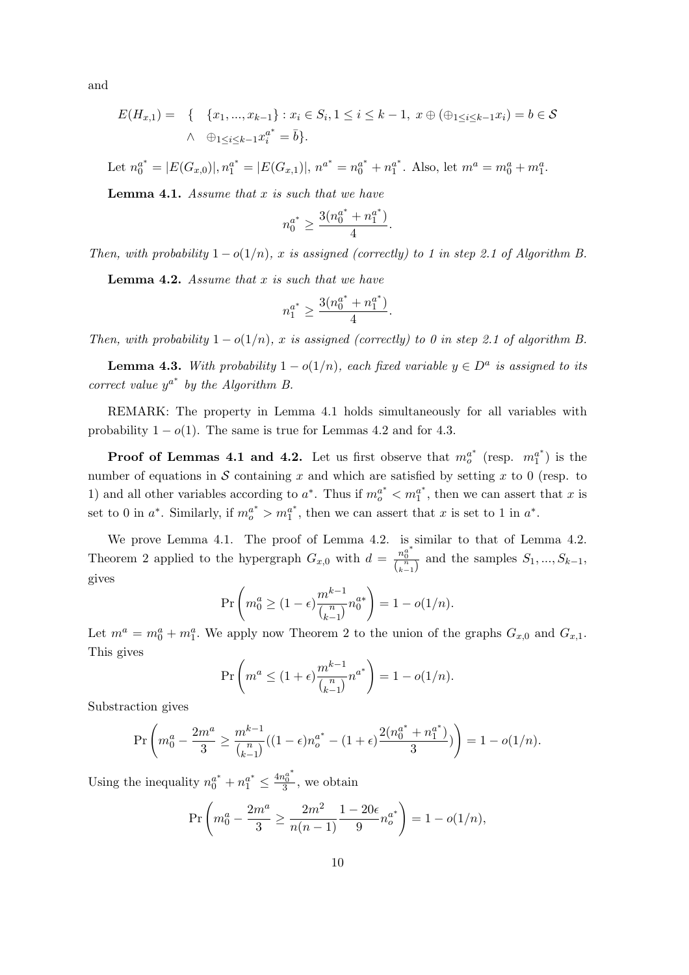and

$$
E(H_{x,1}) = \{ \{x_1, ..., x_{k-1}\} : x_i \in S_i, 1 \le i \le k-1, x \oplus (\oplus_{1 \le i \le k-1} x_i) = b \in \mathcal{S} \}
$$
  

$$
\wedge \oplus_{1 \le i \le k-1} x_i^{a^*} = \overline{b} \}.
$$

Let  $n_0^{a^*} = |E(G_{x,0})|, n_1^{a^*} = |E(G_{x,1})|, n^{a^*} = n_0^{a^*} + n_1^{a^*}$  $a^*$ . Also, let  $m^a = m_0^a + m_1^a$ .

**Lemma 4.1.** Assume that  $x$  is such that we have

$$
n_0^{a^*} \ge \frac{3(n_0^{a^*}+n_1^{a^*})}{4}.
$$

Then, with probability  $1 - o(1/n)$ , x is assigned (correctly) to 1 in step 2.1 of Algorithm B.

**Lemma 4.2.** Assume that x is such that we have

$$
n_1^{a^*} \ge \frac{3(n_0^{a^*}+n_1^{a^*})}{4}.
$$

Then, with probability  $1 - o(1/n)$ , x is assigned (correctly) to 0 in step 2.1 of algorithm B.

**Lemma 4.3.** With probability  $1 - o(1/n)$ , each fixed variable  $y \in D^a$  is assigned to its correct value  $y^{a^*}$  by the Algorithm B.

REMARK: The property in Lemma 4.1 holds simultaneously for all variables with probability  $1 - o(1)$ . The same is true for Lemmas 4.2 and for 4.3.

**Proof of Lemmas 4.1 and 4.2.** Let us first observe that  $m_o^{a^*}$  (resp.  $m_1^{a^*}$  $j^{a^*}$ ) is the number of equations in  $S$  containing x and which are satisfied by setting x to 0 (resp. to 1) and all other variables according to  $a^*$ . Thus if  $m_o^{a^*} < m_1^{a^*}$  $a^r$ , then we can assert that x is set to 0 in  $a^*$ . Similarly, if  $m_o^{a^*} > m_1^{a^*}$  $a^*$ , then we can assert that x is set to 1 in  $a^*$ .

We prove Lemma 4.1. The proof of Lemma 4.2. is similar to that of Lemma 4.2. Theorem 2 applied to the hypergraph  $G_{x,0}$  with  $d = \frac{n_0^{a^*}}{\binom{n}{k-1}}$  and the samples  $S_1, ..., S_{k-1}$ , gives

$$
\Pr\left(m_0^a \ge (1 - \epsilon) \frac{m^{k-1}}{\binom{n}{k-1}} n_0^{a*}\right) = 1 - o(1/n).
$$

Let  $m^a = m_0^a + m_1^a$ . We apply now Theorem 2 to the union of the graphs  $G_{x,0}$  and  $G_{x,1}$ . This gives

$$
\Pr\left(m^a \le (1+\epsilon) \frac{m^{k-1}}{\binom{n}{k-1}} n^{a^*}\right) = 1 - o(1/n).
$$

Substraction gives

$$
\Pr\left(m_0^a - \frac{2m^a}{3} \ge \frac{m^{k-1}}{\binom{n}{k-1}}((1-\epsilon)n_o^{a^*} - (1+\epsilon)\frac{2(n_0^{a^*} + n_1^{a^*})}{3})\right) = 1 - o(1/n).
$$

Using the inequality  $n_0^{a^*} + n_1^{a^*} \leq \frac{4n_0^{a^*}}{3}$ , we obtain

$$
\Pr\left(m_0^a - \frac{2m^a}{3} \ge \frac{2m^2}{n(n-1)} \frac{1-20\epsilon}{9} n_0^{a^*}\right) = 1 - o(1/n),
$$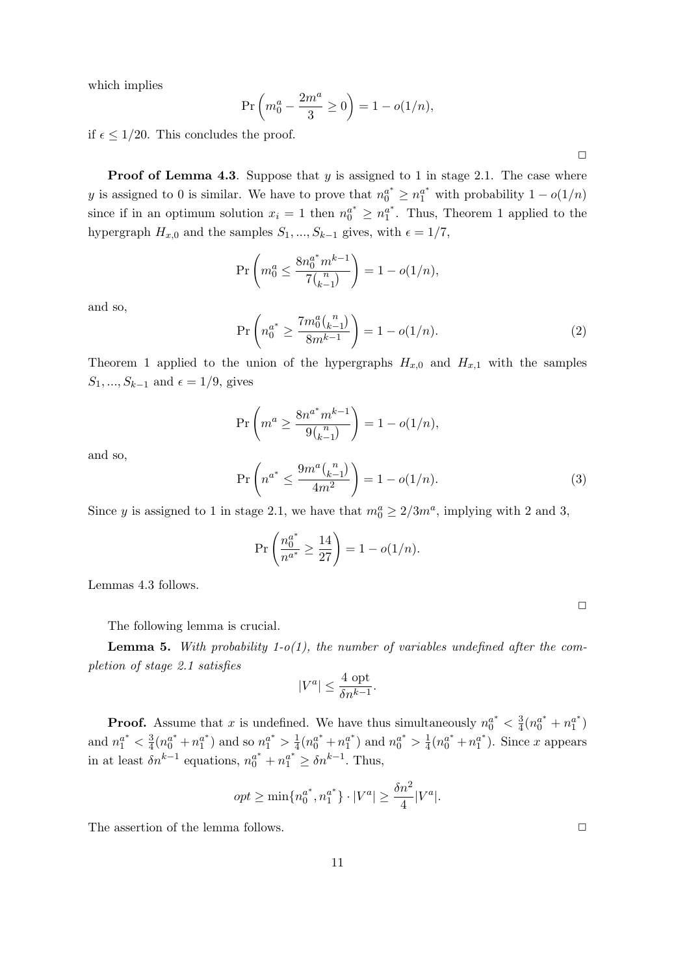which implies

$$
\Pr\left(m_0^a - \frac{2m^a}{3} \ge 0\right) = 1 - o(1/n),
$$

if  $\epsilon \leq 1/20$ . This concludes the proof.

**Proof of Lemma 4.3.** Suppose that  $y$  is assigned to 1 in stage 2.1. The case where y is assigned to 0 is similar. We have to prove that  $n_0^{a^*} \ge n_1^{a^*}$  with probability  $1 - o(1/n)$ since if in an optimum solution  $x_i = 1$  then  $n_0^{a^*} \ge n_1^{a^*}$  $a^*$ . Thus, Theorem 1 applied to the hypergraph  $H_{x,0}$  and the samples  $S_1, ..., S_{k-1}$  gives, with  $\epsilon = 1/7$ ,

$$
\Pr\left(m_0^a \le \frac{8n_0^{a^*}m^{k-1}}{7\binom{n}{k-1}}\right) = 1 - o(1/n),
$$

and so,

$$
\Pr\left(n_0^{a^*} \ge \frac{7m_0^a\binom{n}{k-1}}{8m^{k-1}}\right) = 1 - o(1/n). \tag{2}
$$

Theorem 1 applied to the union of the hypergraphs  $H_{x,0}$  and  $H_{x,1}$  with the samples  $S_1, ..., S_{k-1}$  and  $\epsilon = 1/9$ , gives

$$
\Pr\left(m^a \ge \frac{8n^{a^*}m^{k-1}}{9\binom{n}{k-1}}\right) = 1 - o(1/n),
$$

and so,

$$
\Pr\left(n^{a^*} \le \frac{9m^a \binom{n}{k-1}}{4m^2}\right) = 1 - o(1/n). \tag{3}
$$

Since y is assigned to 1 in stage 2.1, we have that  $m_0^a \geq 2/3m^a$ , implying with 2 and 3,

$$
\Pr\left(\frac{n_0^{a^*}}{n^{a^*}} \ge \frac{14}{27}\right) = 1 - o(1/n).
$$

Lemmas 4.3 follows.

The following lemma is crucial.

**Lemma 5.** With probability 1-o(1), the number of variables undefined after the completion of stage 2.1 satisfies

$$
|V^a| \le \frac{4 \text{ opt}}{\delta n^{k-1}}.
$$

**Proof.** Assume that x is undefined. We have thus simultaneously  $n_0^{a^*} < \frac{3}{4}$  $\frac{3}{4}(n_0^{a^*}+n_1^{a^*})$  $\binom{a^*}{1}$ and  $n_1^{a^*} < \frac{3}{4}$  $\frac{3}{4}(n_0^{a^*}+n_1^{a^*})$  $\binom{a^*}{1}$  and so  $n_1^{a^*} > \frac{1}{4}$  $\frac{1}{4}(n_0^{a^*}+n_1^{a^*}$  $\binom{a^*}{1}$  and  $n_0^{a^*} > \frac{1}{4}$  $\frac{1}{4}(n_0^{a^*}+n_1^{a^*}$  $i<sub>1</sub><sup>a<sup>*</sup></sup>$ ). Since x appears in at least  $\delta n^{k-1}$  equations,  $n_0^{a^*} + n_1^{a^*} \ge \delta n^{k-1}$ . Thus,

$$
opt \ge \min\{n_0^{a^*}, n_1^{a^*}\} \cdot |V^a| \ge \frac{\delta n^2}{4} |V^a|.
$$

The assertion of the lemma follows.  $\Box$ 

 $\Box$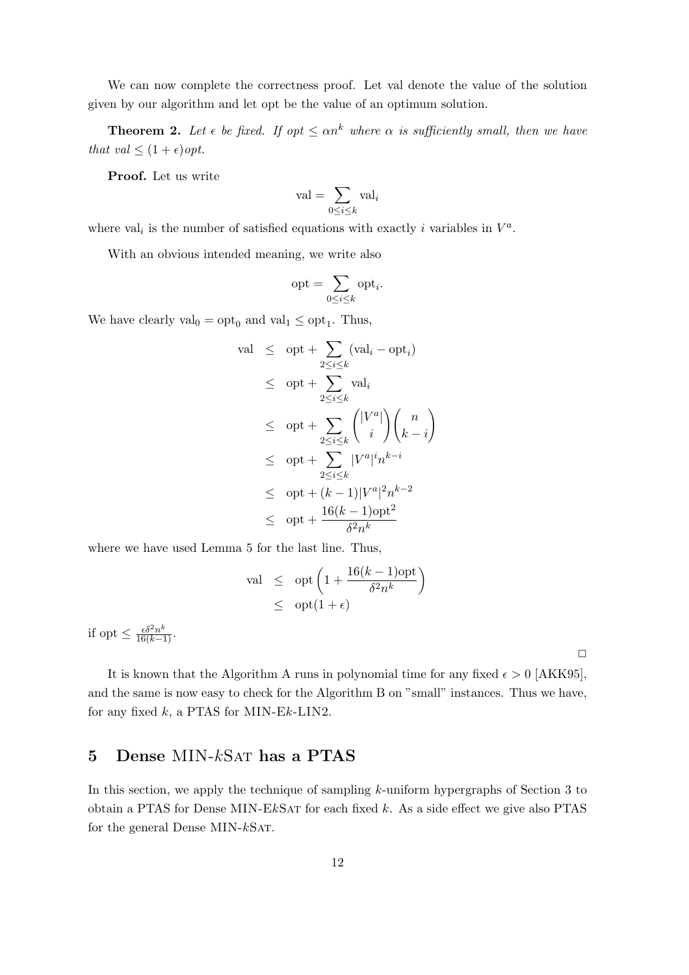We can now complete the correctness proof. Let val denote the value of the solution given by our algorithm and let opt be the value of an optimum solution.

**Theorem 2.** Let  $\epsilon$  be fixed. If opt  $\leq \alpha n^k$  where  $\alpha$  is sufficiently small, then we have that val  $\leq (1+\epsilon)$  opt.

Proof. Let us write

$$
\mathrm{val} = \sum_{0 \leq i \leq k} \mathrm{val}_i
$$

where val<sub>i</sub> is the number of satisfied equations with exactly *i* variables in  $V^a$ .

With an obvious intended meaning, we write also

$$
\mathrm{opt} = \sum_{0 \le i \le k} \mathrm{opt}_i.
$$

We have clearly  $val_0 = opt_0$  and  $val_1 \le opt_1$ . Thus,

$$
\operatorname{val} \leq \operatorname{opt} + \sum_{2 \leq i \leq k} (\operatorname{val}_i - \operatorname{opt}_i)
$$
\n
$$
\leq \operatorname{opt} + \sum_{2 \leq i \leq k} \operatorname{val}_i
$$
\n
$$
\leq \operatorname{opt} + \sum_{2 \leq i \leq k} {|V^a| \choose i} {n \choose k - i}
$$
\n
$$
\leq \operatorname{opt} + \sum_{2 \leq i \leq k} |V^a|^i n^{k - i}
$$
\n
$$
\leq \operatorname{opt} + (k - 1)|V^a|^2 n^{k - 2}
$$
\n
$$
\leq \operatorname{opt} + \frac{16(k - 1)\operatorname{opt}^2}{\delta^2 n^k}
$$

where we have used Lemma 5 for the last line. Thus,

$$
\text{val} \leq \text{opt}\left(1 + \frac{16(k-1)\text{opt}}{\delta^2 n^k}\right)
$$
  

$$
\leq \text{opt}(1+\epsilon)
$$

if opt  $\leq \frac{\epsilon \delta^2 n^k}{16(k-1)}$ .

 $\Box$ 

It is known that the Algorithm A runs in polynomial time for any fixed  $\epsilon > 0$  [AKK95], and the same is now easy to check for the Algorithm B on "small" instances. Thus we have, for any fixed  $k$ , a PTAS for MIN-E $k$ -LIN2.

# 5 Dense MIN-kSat has a PTAS

In this section, we apply the technique of sampling k-uniform hypergraphs of Section 3 to obtain a PTAS for Dense MIN-E $k$ SAT for each fixed  $k$ . As a side effect we give also PTAS for the general Dense MIN- $k$ SAT.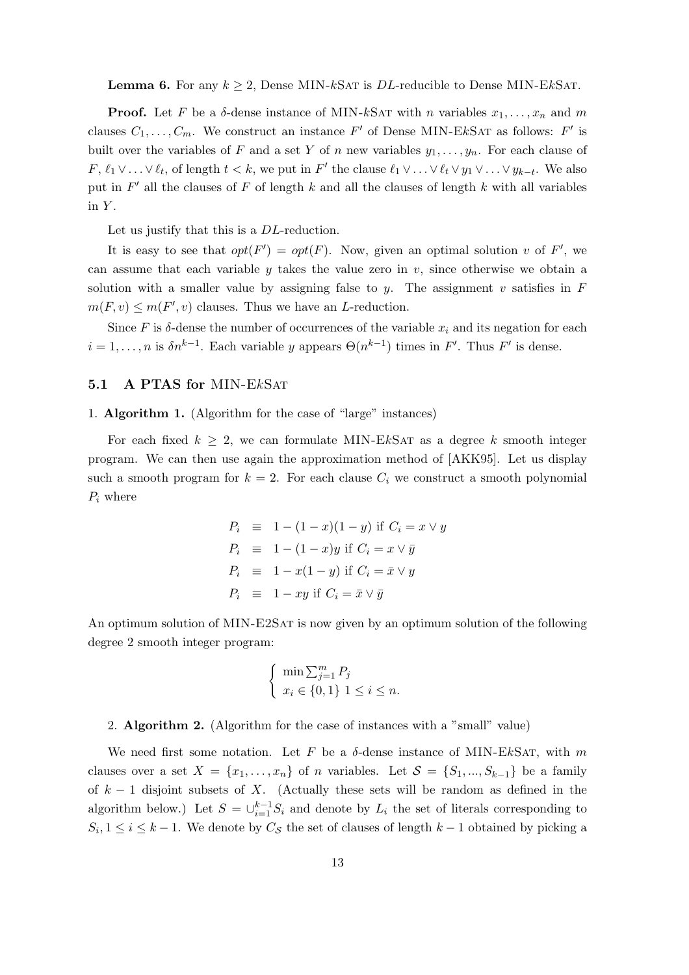**Lemma 6.** For any  $k \geq 2$ , Dense MIN-kSAT is *DL*-reducible to Dense MIN-EkSAT.

**Proof.** Let F be a  $\delta$ -dense instance of MIN-kSAT with n variables  $x_1, \ldots, x_n$  and m clauses  $C_1, \ldots, C_m$ . We construct an instance  $F'$  of Dense MIN-EkSAT as follows:  $F'$  is built over the variables of F and a set Y of n new variables  $y_1, \ldots, y_n$ . For each clause of F,  $\ell_1 \vee \ldots \vee \ell_t$ , of length  $t < k$ , we put in F' the clause  $\ell_1 \vee \ldots \vee \ell_t \vee y_1 \vee \ldots \vee y_{k-t}$ . We also put in  $F'$  all the clauses of F of length k and all the clauses of length k with all variables in  $Y$ .

Let us justify that this is a *DL*-reduction.

It is easy to see that  $opt(F') = opt(F)$ . Now, given an optimal solution v of F', we can assume that each variable y takes the value zero in  $v$ , since otherwise we obtain a solution with a smaller value by assigning false to y. The assignment v satisfies in  $F$  $m(F, v) \leq m(F', v)$  clauses. Thus we have an *L*-reduction.

Since F is  $\delta$ -dense the number of occurrences of the variable  $x_i$  and its negation for each  $i = 1, \ldots, n$  is  $\delta n^{k-1}$ . Each variable y appears  $\Theta(n^{k-1})$  times in F'. Thus F' is dense.

#### 5.1 A PTAS for MIN-E<sub>kSAT</sub>

1. Algorithm 1. (Algorithm for the case of "large" instances)

For each fixed  $k \geq 2$ , we can formulate MIN-EkSAT as a degree k smooth integer program. We can then use again the approximation method of [AKK95]. Let us display such a smooth program for  $k = 2$ . For each clause  $C_i$  we construct a smooth polynomial  $P_i$  where

$$
P_i \equiv 1 - (1 - x)(1 - y) \text{ if } C_i = x \vee y
$$
  
\n
$$
P_i \equiv 1 - (1 - x)y \text{ if } C_i = x \vee \bar{y}
$$
  
\n
$$
P_i \equiv 1 - x(1 - y) \text{ if } C_i = \bar{x} \vee y
$$
  
\n
$$
P_i \equiv 1 - xy \text{ if } C_i = \bar{x} \vee \bar{y}
$$

An optimum solution of MIN-E2SAT is now given by an optimum solution of the following degree 2 smooth integer program:

$$
\begin{cases} \min \sum_{j=1}^{m} P_j \\ x_i \in \{0, 1\} \ 1 \le i \le n. \end{cases}
$$

#### 2. Algorithm 2. (Algorithm for the case of instances with a "small" value)

We need first some notation. Let F be a  $\delta$ -dense instance of MIN-EkSAT, with m clauses over a set  $X = \{x_1, \ldots, x_n\}$  of n variables. Let  $S = \{S_1, \ldots, S_{k-1}\}\$  be a family of  $k-1$  disjoint subsets of X. (Actually these sets will be random as defined in the algorithm below.) Let  $S = \bigcup_{i=1}^{k-1} S_i$  and denote by  $L_i$  the set of literals corresponding to  $S_i, 1 \leq i \leq k-1$ . We denote by  $C_{\mathcal{S}}$  the set of clauses of length  $k-1$  obtained by picking a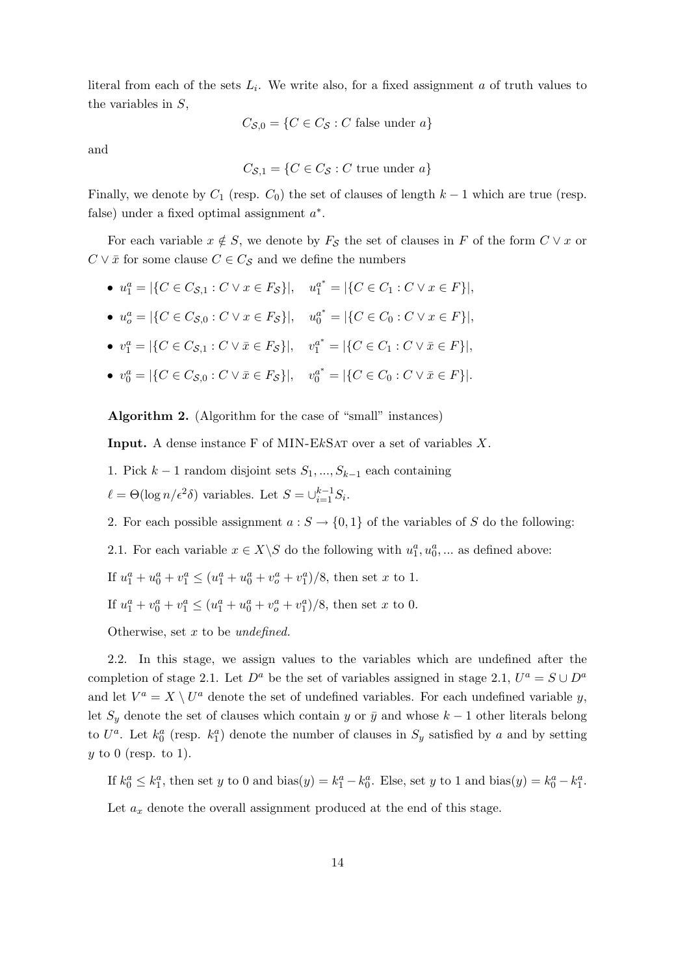literal from each of the sets  $L_i$ . We write also, for a fixed assignment a of truth values to the variables in S,

$$
C_{\mathcal{S},0} = \{ C \in C_{\mathcal{S}} : C \text{ false under } a \}
$$

and

$$
C_{\mathcal{S},1} = \{ C \in C_{\mathcal{S}} : C \text{ true under } a \}
$$

Finally, we denote by  $C_1$  (resp.  $C_0$ ) the set of clauses of length  $k-1$  which are true (resp. false) under a fixed optimal assignment  $a^*$ .

For each variable  $x \notin S$ , we denote by  $F_S$  the set of clauses in F of the form  $C \vee x$  or  $C \vee \overline{x}$  for some clause  $C \in C_{\mathcal{S}}$  and we define the numbers

- $u_1^a = |\{C \in C_{\mathcal{S},1} : C \vee x \in F_{\mathcal{S}}\}|, \quad u_1^{a^*} = |\{C \in C_1 : C \vee x \in F\}|,$
- $u_o^a = |\{C \in C_{\mathcal{S},0} : C \vee x \in F_{\mathcal{S}}\}|, \quad u_0^{a^*} = |\{C \in C_0 : C \vee x \in F\}|,$
- $v_1^a = |\{C \in C_{\mathcal{S},1} : C \vee \bar{x} \in F_{\mathcal{S}}\}|, v_1^{a^*} = |\{C \in C_1 : C \vee \bar{x} \in F\}|,$
- $v_0^a = |\{C \in C_{\mathcal{S},0} : C \vee \bar{x} \in F_{\mathcal{S}}\}|, v_0^{a^*} = |\{C \in C_0 : C \vee \bar{x} \in F\}|.$

Algorithm 2. (Algorithm for the case of "small" instances)

**Input.** A dense instance F of MIN-EkSAT over a set of variables  $X$ .

1. Pick  $k-1$  random disjoint sets  $S_1, ..., S_{k-1}$  each containing

 $\ell = \Theta(\log n / \epsilon^2 \delta)$  variables. Let  $S = \bigcup_{i=1}^{k-1} S_i$ .

- 2. For each possible assignment  $a: S \to \{0,1\}$  of the variables of S do the following:
- 2.1. For each variable  $x \in X \backslash S$  do the following with  $u_1^a, u_0^a, \dots$  as defined above:

If  $u_1^a + u_0^a + v_1^a \le (u_1^a + u_0^a + v_o^a + v_1^a)/8$ , then set x to 1.

If  $u_1^a + v_0^a + v_1^a \le (u_1^a + u_0^a + v_o^a + v_1^a)/8$ , then set x to 0.

Otherwise, set  $x$  to be undefined.

2.2. In this stage, we assign values to the variables which are undefined after the completion of stage 2.1. Let  $D^a$  be the set of variables assigned in stage 2.1,  $U^a = S \cup D^a$ and let  $V^a = X \setminus U^a$  denote the set of undefined variables. For each undefined variable y, let  $S_y$  denote the set of clauses which contain y or  $\bar{y}$  and whose  $k-1$  other literals belong to  $U^a$ . Let  $k_0^a$  (resp.  $k_1^a$ ) denote the number of clauses in  $S_y$  satisfied by a and by setting  $y$  to 0 (resp. to 1).

If  $k_0^a \leq k_1^a$ , then set y to 0 and bias(y) =  $k_1^a - k_0^a$ . Else, set y to 1 and bias(y) =  $k_0^a - k_1^a$ .

Let  $a_x$  denote the overall assignment produced at the end of this stage.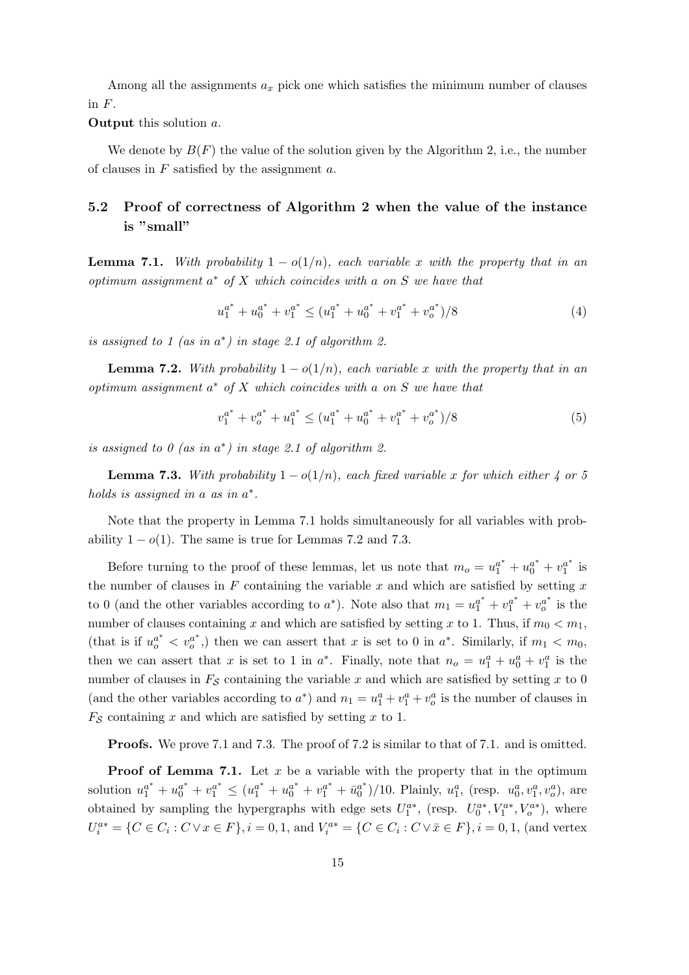Among all the assignments  $a_x$  pick one which satisfies the minimum number of clauses in  $F$ .

Output this solution a.

We denote by  $B(F)$  the value of the solution given by the Algorithm 2, i.e., the number of clauses in  $F$  satisfied by the assignment  $a$ .

# 5.2 Proof of correctness of Algorithm 2 when the value of the instance is "small"

**Lemma 7.1.** With probability  $1 - o(1/n)$ , each variable x with the property that in an  $optimum assignment a* of X which coincides with a on S we have that$ 

$$
u_1^{a^*} + u_0^{a^*} + v_1^{a^*} \le (u_1^{a^*} + u_0^{a^*} + v_1^{a^*} + v_0^{a^*})/8
$$
 (4)

is assigned to 1 (as in  $a^*$ ) in stage 2.1 of algorithm 2.

**Lemma 7.2.** With probability  $1 - o(1/n)$ , each variable x with the property that in an  $optimum$  assignment  $a^*$  of  $X$  which coincides with a on  $S$  we have that

$$
v_1^{a^*} + v_0^{a^*} + u_1^{a^*} \le (u_1^{a^*} + u_0^{a^*} + v_1^{a^*} + v_0^{a^*})/8
$$
 (5)

is assigned to  $0$  (as in  $a^*$ ) in stage 2.1 of algorithm 2.

**Lemma 7.3.** With probability  $1 - o(1/n)$ , each fixed variable x for which either 4 or 5 holds is assigned in a as in  $a^*$ .

Note that the property in Lemma 7.1 holds simultaneously for all variables with probability  $1 - o(1)$ . The same is true for Lemmas 7.2 and 7.3.

Before turning to the proof of these lemmas, let us note that  $m_o = u_1^{a^*} + u_0^{a^*} + v_1^{a^*}$  $\frac{a^*}{1}$  is the number of clauses in  $F$  containing the variable  $x$  and which are satisfied by setting  $x$ to 0 (and the other variables according to  $a^*$ ). Note also that  $m_1 = u_1^{a^*} + v_1^{a^*} + v_0^{a^*}$  is the number of clauses containing x and which are satisfied by setting x to 1. Thus, if  $m_0 < m_1$ , (that is if  $u_0^{a^*} < v_0^{a^*}$ ) then we can assert that x is set to 0 in  $a^*$ . Similarly, if  $m_1 < m_0$ , then we can assert that x is set to 1 in  $a^*$ . Finally, note that  $n_o = u_1^a + u_0^a + v_1^a$  is the number of clauses in  $F<sub>S</sub>$  containing the variable x and which are satisfied by setting x to 0 (and the other variables according to  $a^*$ ) and  $n_1 = u_1^a + v_1^a + v_o^a$  is the number of clauses in  $F<sub>S</sub>$  containing x and which are satisfied by setting x to 1.

Proofs. We prove 7.1 and 7.3. The proof of 7.2 is similar to that of 7.1. and is omitted.

**Proof of Lemma 7.1.** Let x be a variable with the property that in the optimum solution  $u_1^{a^*} + u_0^{a^*} + v_1^{a^*} \le (u_1^{a^*} + u_0^{a^*} + v_1^{a^*} + \bar{u}_0^{a^*})$  $\binom{a^*}{0}$ /10. Plainly,  $u_1^a$ , (resp.  $u_0^a, v_1^a, v_0^a$ ), are obtained by sampling the hypergraphs with edge sets  $U_1^{a*}$ , (resp.  $U_0^{a*}$ ,  $V_1^{a*}$ ,  $V_0^{a*}$ ), where  $U_i^{a*} = \{C \in C_i : C \vee x \in F\}, i = 0, 1, \text{ and } V_i^{a*} = \{C \in C_i : C \vee \overline{x} \in F\}, i = 0, 1, \text{ (and vertex)}\}$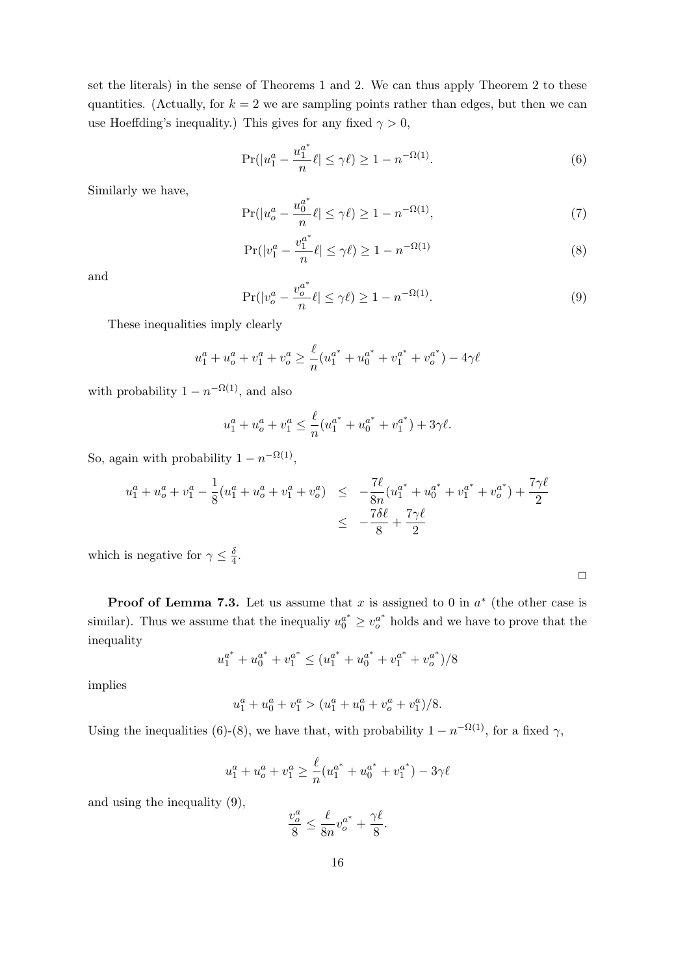set the literals) in the sense of Theorems 1 and 2. We can thus apply Theorem 2 to these quantities. (Actually, for  $k = 2$  we are sampling points rather than edges, but then we can use Hoeffding's inequality.) This gives for any fixed  $\gamma > 0$ ,

$$
\Pr(|u_1^a - \frac{u_1^{a^*}}{n}\ell| \le \gamma \ell) \ge 1 - n^{-\Omega(1)}.
$$
\n(6)

Similarly we have,

$$
\Pr(|u_o^a - \frac{u_0^{a^*}}{n}\ell| \le \gamma \ell) \ge 1 - n^{-\Omega(1)},\tag{7}
$$

$$
\Pr(|v_1^a - \frac{v_1^{a^*}}{n}\ell| \le \gamma \ell) \ge 1 - n^{-\Omega(1)}\tag{8}
$$

and

$$
\Pr(|v_o^a - \frac{v_o^{a^*}}{n}\ell| \le \gamma \ell) \ge 1 - n^{-\Omega(1)}.
$$
\n(9)

These inequalities imply clearly

$$
u_1^a + u_0^a + v_1^a + v_0^a \ge \frac{\ell}{n} (u_1^{a^*} + u_0^{a^*} + v_1^{a^*} + v_0^{a^*}) - 4\gamma \ell
$$

with probability  $1 - n^{-\Omega(1)}$ , and also

$$
u_1^a + u_0^a + v_1^a \le \frac{\ell}{n} (u_1^{a^*} + u_0^{a^*} + v_1^{a^*}) + 3\gamma\ell.
$$

So, again with probability  $1 - n^{-\Omega(1)}$ ,

$$
u_1^a + u_0^a + v_1^a - \frac{1}{8} (u_1^a + u_0^a + v_1^a + v_0^a) \le -\frac{7\ell}{8n} (u_1^{a^*} + u_0^{a^*} + v_1^{a^*} + v_0^{a^*}) + \frac{7\gamma\ell}{2}
$$
  

$$
\le -\frac{7\delta\ell}{8} + \frac{7\gamma\ell}{2}
$$

which is negative for  $\gamma \leq \frac{\delta}{4}$  $\frac{0}{4}$ .

| <b>Proof of Lemma 7.3.</b> Let us assume that x is assigned to 0 in $a^*$ (the other case is                |
|-------------------------------------------------------------------------------------------------------------|
| similar). Thus we assume that the inequality $u_0^{a^*} \geq v_0^{a^*}$ holds and we have to prove that the |
| inequality                                                                                                  |

$$
u_1^{a^*} + u_0^{a^*} + v_1^{a^*} \le (u_1^{a^*} + u_0^{a^*} + v_1^{a^*} + v_0^{a^*})/8
$$

implies

 $u_1^a + u_0^a + v_1^a > (u_1^a + u_0^a + v_0^a + v_1^a)/8.$ 

Using the inequalities (6)-(8), we have that, with probability  $1 - n^{-\Omega(1)}$ , for a fixed  $\gamma$ ,

$$
u_1^a + u_0^a + v_1^a \ge \frac{\ell}{n} (u_1^{a^*} + u_0^{a^*} + v_1^{a^*}) - 3\gamma\ell
$$

and using the inequality (9),

$$
\frac{v_o^a}{8} \le \frac{\ell}{8n} v_o^{a^*} + \frac{\gamma \ell}{8}.
$$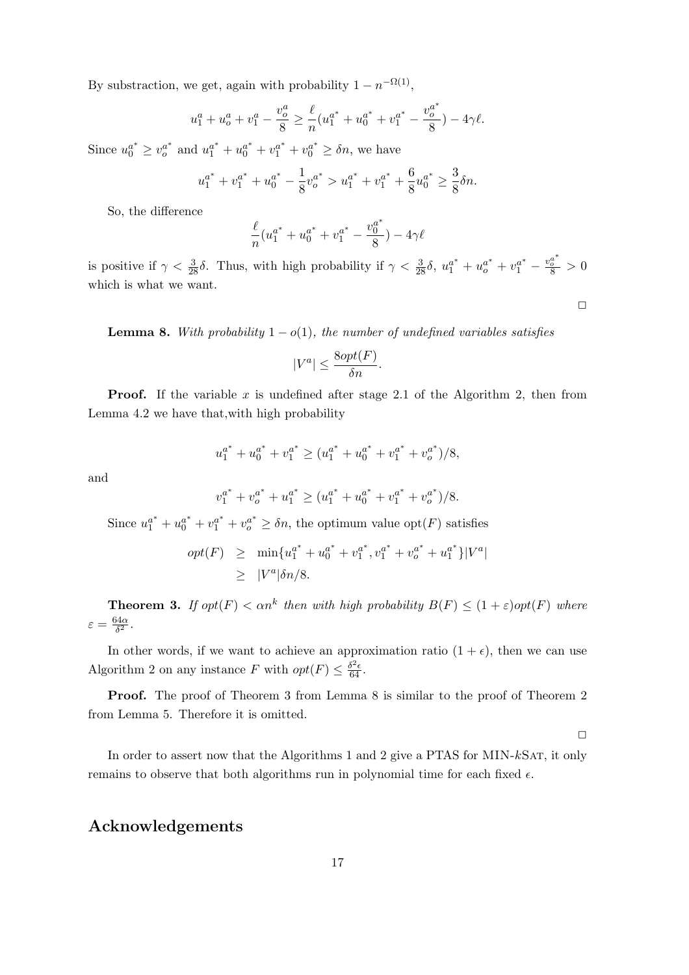By substraction, we get, again with probability  $1 - n^{-\Omega(1)}$ ,

$$
u_1^a + u_0^a + v_1^a - \frac{v_0^a}{8} \ge \frac{\ell}{n} (u_1^{a^*} + u_0^{a^*} + v_1^{a^*} - \frac{v_0^{a^*}}{8}) - 4\gamma\ell.
$$

Since  $u_0^{a^*} \geq v_0^{a^*}$  and  $u_1^{a^*} + u_0^{a^*} + v_1^{a^*} + v_0^{a^*} \geq \delta n$ , we have

$$
u_1^{a^*} + v_1^{a^*} + u_0^{a^*} - \frac{1}{8}v_0^{a^*} > u_1^{a^*} + v_1^{a^*} + \frac{6}{8}u_0^{a^*} \ge \frac{3}{8}\delta n.
$$

So, the difference

$$
\frac{\ell}{n}(u_1^{a^*} + u_0^{a^*} + v_1^{a^*} - \frac{v_0^{a^*}}{8}) - 4\gamma\ell
$$

is positive if  $\gamma < \frac{3}{28}\delta$ . Thus, with high probability if  $\gamma < \frac{3}{28}\delta$ ,  $u_1^{a^*} + u_0^{a^*} + v_1^{a^*} - \frac{v_0^{a^*}}{8} > 0$ which is what we want.

**Lemma 8.** With probability  $1 - o(1)$ , the number of undefined variables satisfies

$$
|V^a| \le \frac{8opt(F)}{\delta n}.
$$

**Proof.** If the variable x is undefined after stage 2.1 of the Algorithm 2, then from Lemma 4.2 we have that,with high probability

$$
u_1^{a^*} + u_0^{a^*} + v_1^{a^*} \ge (u_1^{a^*} + u_0^{a^*} + v_1^{a^*} + v_0^{a^*})/8,
$$

and

$$
v_1^{a^*} + v_0^{a^*} + u_1^{a^*} \ge (u_1^{a^*} + u_0^{a^*} + v_1^{a^*} + v_0^{a^*})/8.
$$

Since  $u_1^{a^*} + u_0^{a^*} + v_1^{a^*} + v_0^{a^*} \ge \delta n$ , the optimum value opt $(F)$  satisfies

$$
opt(F) \ge \min\{u_1^{a^*} + u_0^{a^*} + v_1^{a^*}, v_1^{a^*} + v_0^{a^*} + u_1^{a^*}\}|V^a|
$$
  
 
$$
\ge |V^a|\delta n/8.
$$

**Theorem 3.** If  $opt(F) < \alpha n^k$  then with high probability  $B(F) \leq (1+\varepsilon)opt(F)$  where  $\varepsilon = \frac{64\alpha}{\delta^2}$  $\frac{1}{\delta^2}$ .

In other words, if we want to achieve an approximation ratio  $(1 + \epsilon)$ , then we can use Algorithm 2 on any instance F with  $opt(F) \leq \frac{\delta^2 \epsilon}{64}$ .

Proof. The proof of Theorem 3 from Lemma 8 is similar to the proof of Theorem 2 from Lemma 5. Therefore it is omitted.

 $\Box$ 

In order to assert now that the Algorithms 1 and 2 give a PTAS for MIN- $k$ SAT, it only remains to observe that both algorithms run in polynomial time for each fixed  $\epsilon$ .

## Acknowledgements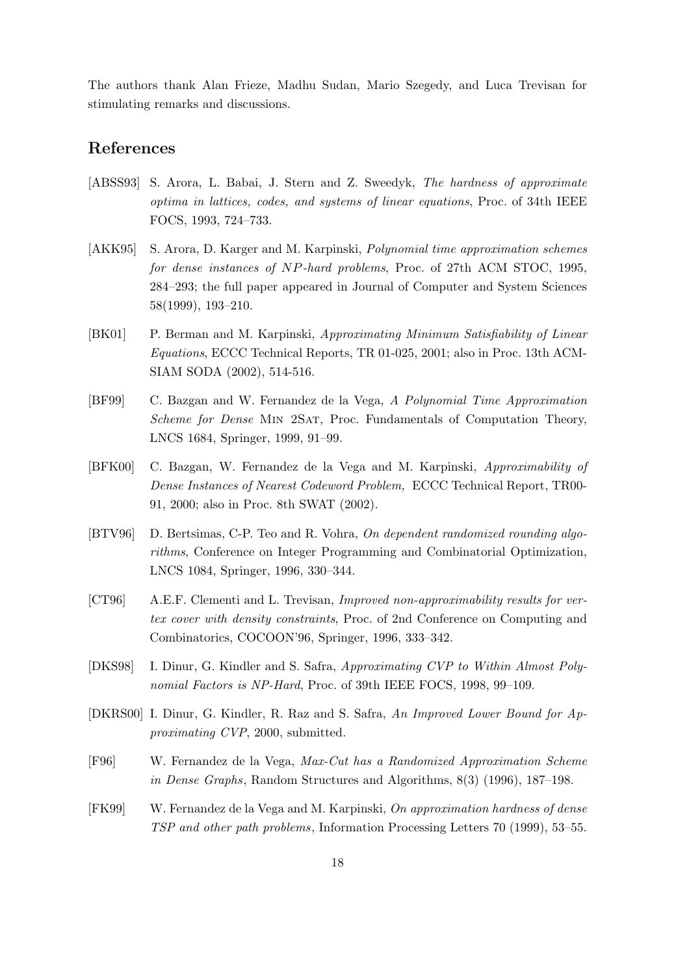The authors thank Alan Frieze, Madhu Sudan, Mario Szegedy, and Luca Trevisan for stimulating remarks and discussions.

# References

- [ABSS93] S. Arora, L. Babai, J. Stern and Z. Sweedyk, The hardness of approximate optima in lattices, codes, and systems of linear equations, Proc. of 34th IEEE FOCS, 1993, 724–733.
- [AKK95] S. Arora, D. Karger and M. Karpinski, Polynomial time approximation schemes for dense instances of NP-hard problems, Proc. of 27th ACM STOC, 1995, 284–293; the full paper appeared in Journal of Computer and System Sciences 58(1999), 193–210.
- [BK01] P. Berman and M. Karpinski, Approximating Minimum Satisfiability of Linear Equations, ECCC Technical Reports, TR 01-025, 2001; also in Proc. 13th ACM-SIAM SODA (2002), 514-516.
- [BF99] C. Bazgan and W. Fernandez de la Vega, A Polynomial Time Approximation Scheme for Dense MIN 2SAT, Proc. Fundamentals of Computation Theory, LNCS 1684, Springer, 1999, 91–99.
- [BFK00] C. Bazgan, W. Fernandez de la Vega and M. Karpinski, Approximability of Dense Instances of Nearest Codeword Problem, ECCC Technical Report, TR00- 91, 2000; also in Proc. 8th SWAT (2002).
- [BTV96] D. Bertsimas, C-P. Teo and R. Vohra, On dependent randomized rounding algorithms, Conference on Integer Programming and Combinatorial Optimization, LNCS 1084, Springer, 1996, 330–344.
- [CT96] A.E.F. Clementi and L. Trevisan, Improved non-approximability results for vertex cover with density constraints, Proc. of 2nd Conference on Computing and Combinatorics, COCOON'96, Springer, 1996, 333–342.
- [DKS98] I. Dinur, G. Kindler and S. Safra, Approximating CVP to Within Almost Polynomial Factors is NP-Hard, Proc. of 39th IEEE FOCS, 1998, 99–109.
- [DKRS00] I. Dinur, G. Kindler, R. Raz and S. Safra, An Improved Lower Bound for Approximating CVP, 2000, submitted.
- [F96] W. Fernandez de la Vega, Max-Cut has a Randomized Approximation Scheme in Dense Graphs, Random Structures and Algorithms, 8(3) (1996), 187–198.
- [FK99] W. Fernandez de la Vega and M. Karpinski, On approximation hardness of dense TSP and other path problems, Information Processing Letters 70 (1999), 53–55.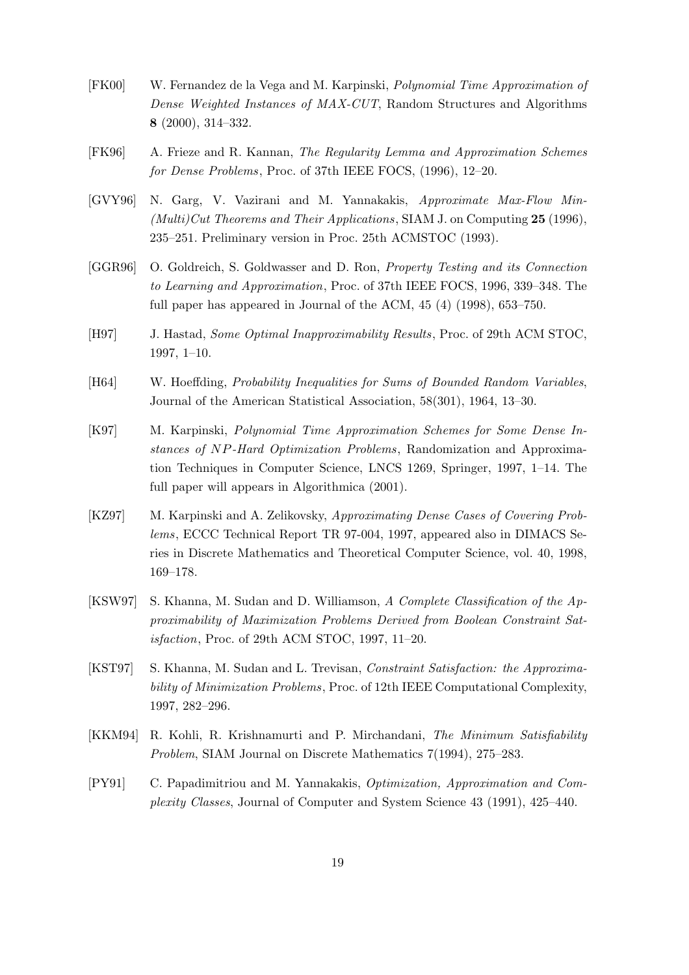- [FK00] W. Fernandez de la Vega and M. Karpinski, Polynomial Time Approximation of Dense Weighted Instances of MAX-CUT, Random Structures and Algorithms 8 (2000), 314–332.
- [FK96] A. Frieze and R. Kannan, The Regularity Lemma and Approximation Schemes for Dense Problems, Proc. of 37th IEEE FOCS, (1996), 12–20.
- [GVY96] N. Garg, V. Vazirani and M. Yannakakis, Approximate Max-Flow Min- (Multi)Cut Theorems and Their Applications, SIAM J. on Computing  $25$  (1996), 235–251. Preliminary version in Proc. 25th ACMSTOC (1993).
- [GGR96] O. Goldreich, S. Goldwasser and D. Ron, Property Testing and its Connection to Learning and Approximation, Proc. of 37th IEEE FOCS, 1996, 339–348. The full paper has appeared in Journal of the ACM, 45 (4) (1998), 653–750.
- [H97] J. Hastad, Some Optimal Inapproximability Results, Proc. of 29th ACM STOC, 1997, 1–10.
- [H64] W. Hoeffding, Probability Inequalities for Sums of Bounded Random Variables, Journal of the American Statistical Association, 58(301), 1964, 13–30.
- [K97] M. Karpinski, Polynomial Time Approximation Schemes for Some Dense Instances of NP-Hard Optimization Problems, Randomization and Approximation Techniques in Computer Science, LNCS 1269, Springer, 1997, 1–14. The full paper will appears in Algorithmica (2001).
- [KZ97] M. Karpinski and A. Zelikovsky, Approximating Dense Cases of Covering Problems, ECCC Technical Report TR 97-004, 1997, appeared also in DIMACS Series in Discrete Mathematics and Theoretical Computer Science, vol. 40, 1998, 169–178.
- [KSW97] S. Khanna, M. Sudan and D. Williamson, A Complete Classification of the Approximability of Maximization Problems Derived from Boolean Constraint Satisfaction, Proc. of 29th ACM STOC, 1997, 11–20.
- [KST97] S. Khanna, M. Sudan and L. Trevisan, Constraint Satisfaction: the Approximability of Minimization Problems, Proc. of 12th IEEE Computational Complexity, 1997, 282–296.
- [KKM94] R. Kohli, R. Krishnamurti and P. Mirchandani, The Minimum Satisfiability Problem, SIAM Journal on Discrete Mathematics 7(1994), 275–283.
- [PY91] C. Papadimitriou and M. Yannakakis, Optimization, Approximation and Complexity Classes, Journal of Computer and System Science 43 (1991), 425–440.